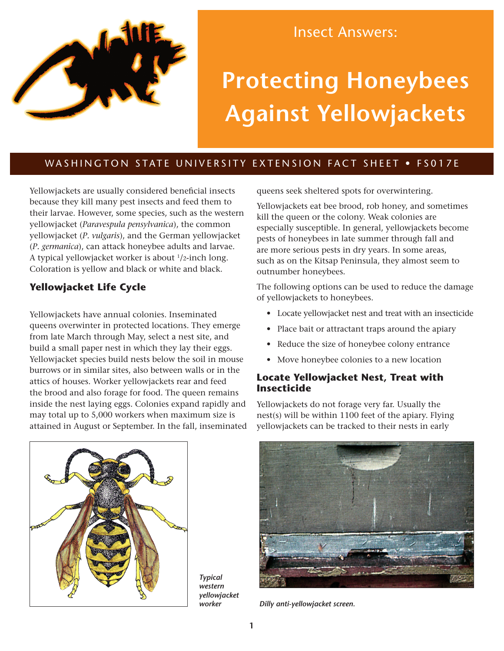

## Insect Answers:

# **Protecting Honeybees Against Yellowjackets**

## WASHINGTON STATE UNIVERSITY EXTENSION FACT SHEET . FS017E

Yellowjackets are usually considered beneficial insects because they kill many pest insects and feed them to their larvae. However, some species, such as the western yellowjacket (*Paravespula pensylvanica*), the common yellowjacket (*P. vulgaris*), and the German yellowjacket (*P. germanica*), can attack honeybee adults and larvae. A typical yellowjacket worker is about 1/2-inch long. Coloration is yellow and black or white and black.

## **Yellowjacket Life Cycle**

Yellowjackets have annual colonies. Inseminated queens overwinter in protected locations. They emerge from late March through May, select a nest site, and build a small paper nest in which they lay their eggs. Yellowjacket species build nests below the soil in mouse burrows or in similar sites, also between walls or in the attics of houses. Worker yellowjackets rear and feed the brood and also forage for food. The queen remains inside the nest laying eggs. Colonies expand rapidly and may total up to 5,000 workers when maximum size is attained in August or September. In the fall, inseminated queens seek sheltered spots for overwintering.

Yellowjackets eat bee brood, rob honey, and sometimes kill the queen or the colony. Weak colonies are especially susceptible. In general, yellowjackets become pests of honeybees in late summer through fall and are more serious pests in dry years. In some areas, such as on the Kitsap Peninsula, they almost seem to outnumber honeybees.

The following options can be used to reduce the damage of yellowjackets to honeybees.

- Locate yellowjacket nest and treat with an insecticide
- Place bait or attractant traps around the apiary
- Reduce the size of honeybee colony entrance
- Move honeybee colonies to a new location

#### **Locate Yellowjacket Nest, Treat with Insecticide**

Yellowjackets do not forage very far. Usually the nest(s) will be within 1100 feet of the apiary. Flying yellowjackets can be tracked to their nests in early



*Typical western yellowjacket* 



*worker Dilly anti-yellowjacket screen.*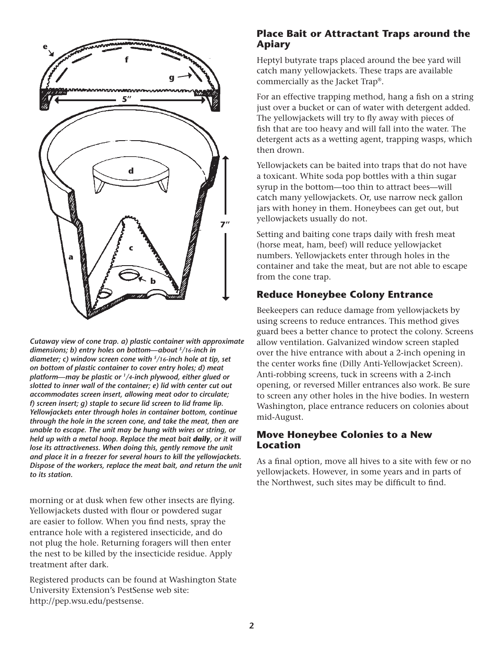

*Cutaway view of cone trap. a) plastic container with approximate dimensions; b) entry holes on bottom—about 5/16-inch in diameter; c) window screen cone with 5/16-inch hole at tip, set on bottom of plastic container to cover entry holes; d) meat platform—may be plastic or 1/4-inch plywood, either glued or slotted to inner wall of the container; e) lid with center cut out accommodates screen insert, allowing meat odor to circulate; f) screen insert; g) staple to secure lid screen to lid frame lip. Yellowjackets enter through holes in container bottom, continue through the hole in the screen cone, and take the meat, then are unable to escape. The unit may be hung with wires or string, or held up with a metal hoop. Replace the meat bait daily, or it will lose its attractiveness. When doing this, gently remove the unit and place it in a freezer for several hours to kill the yellowjackets. Dispose of the workers, replace the meat bait, and return the unit to its station.*

morning or at dusk when few other insects are flying. Yellowjackets dusted with flour or powdered sugar are easier to follow. When you find nests, spray the entrance hole with a registered insecticide, and do not plug the hole. Returning foragers will then enter the nest to be killed by the insecticide residue. Apply treatment after dark.

Registered products can be found at Washington State University Extension's PestSense web site: <http://pep.wsu.edu/pestsense>.

### **Place Bait or Attractant Traps around the Apiary**

Heptyl butyrate traps placed around the bee yard will catch many yellowjackets. These traps are available commercially as the Jacket Trap®.

For an effective trapping method, hang a fish on a string just over a bucket or can of water with detergent added. The yellowjackets will try to fly away with pieces of fish that are too heavy and will fall into the water. The detergent acts as a wetting agent, trapping wasps, which then drown.

Yellowjackets can be baited into traps that do not have a toxicant. White soda pop bottles with a thin sugar syrup in the bottom—too thin to attract bees—will catch many yellowjackets. Or, use narrow neck gallon jars with honey in them. Honeybees can get out, but yellowjackets usually do not.

Setting and baiting cone traps daily with fresh meat (horse meat, ham, beef) will reduce yellowjacket numbers. Yellowjackets enter through holes in the container and take the meat, but are not able to escape from the cone trap.

## **Reduce Honeybee Colony Entrance**

Beekeepers can reduce damage from yellowjackets by using screens to reduce entrances. This method gives guard bees a better chance to protect the colony. Screens allow ventilation. Galvanized window screen stapled over the hive entrance with about a 2-inch opening in the center works fine (Dilly Anti-Yellowjacket Screen). Anti-robbing screens, tuck in screens with a 2-inch opening, or reversed Miller entrances also work. Be sure to screen any other holes in the hive bodies. In western Washington, place entrance reducers on colonies about mid-August.

#### **Move Honeybee Colonies to a New Location**

As a final option, move all hives to a site with few or no yellowjackets. However, in some years and in parts of the Northwest, such sites may be difficult to find.